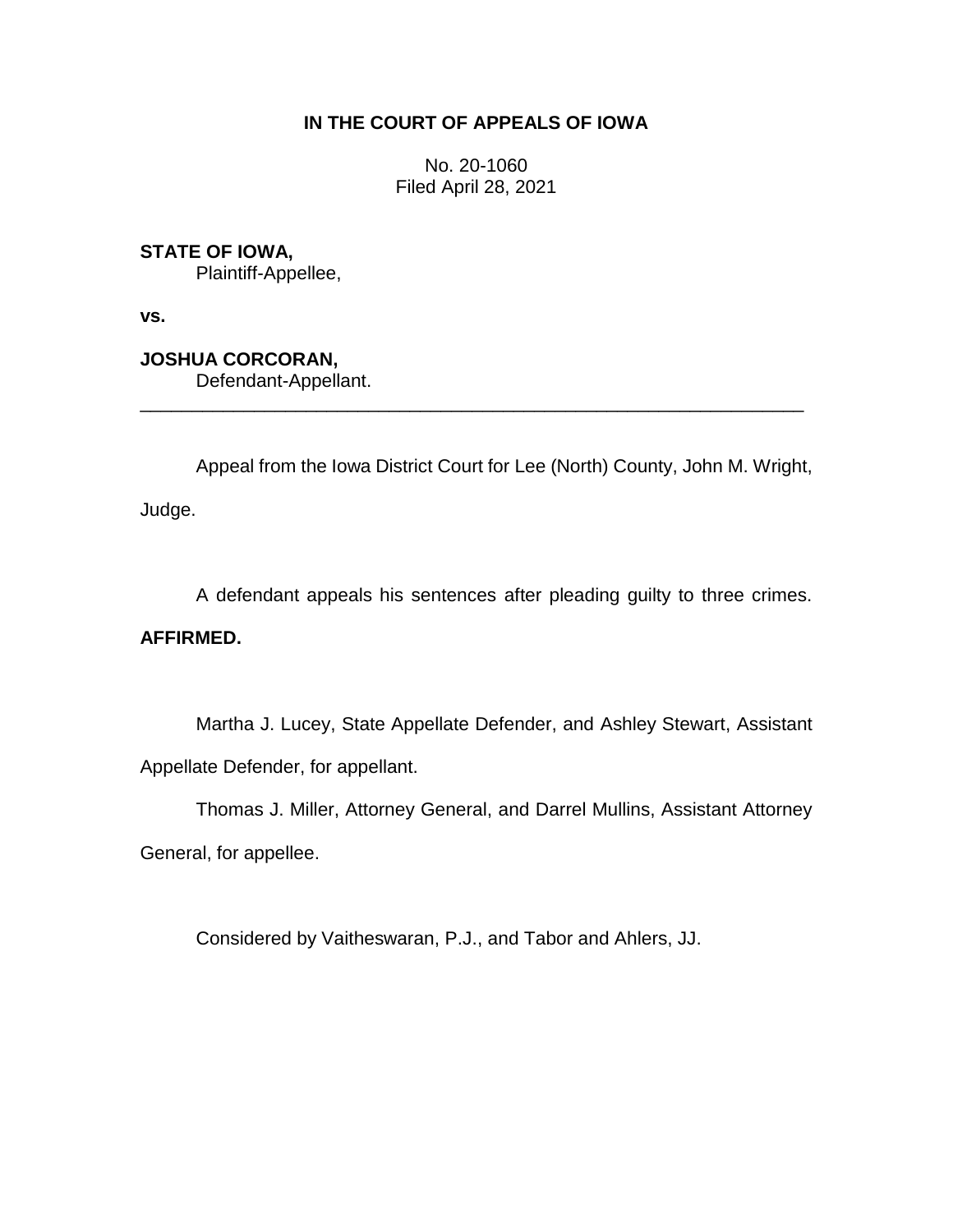## **IN THE COURT OF APPEALS OF IOWA**

No. 20-1060 Filed April 28, 2021

**STATE OF IOWA,**

Plaintiff-Appellee,

**vs.**

**JOSHUA CORCORAN,**

Defendant-Appellant.

Appeal from the Iowa District Court for Lee (North) County, John M. Wright,

\_\_\_\_\_\_\_\_\_\_\_\_\_\_\_\_\_\_\_\_\_\_\_\_\_\_\_\_\_\_\_\_\_\_\_\_\_\_\_\_\_\_\_\_\_\_\_\_\_\_\_\_\_\_\_\_\_\_\_\_\_\_\_\_

Judge.

A defendant appeals his sentences after pleading guilty to three crimes.

## **AFFIRMED.**

Martha J. Lucey, State Appellate Defender, and Ashley Stewart, Assistant Appellate Defender, for appellant.

Thomas J. Miller, Attorney General, and Darrel Mullins, Assistant Attorney

General, for appellee.

Considered by Vaitheswaran, P.J., and Tabor and Ahlers, JJ.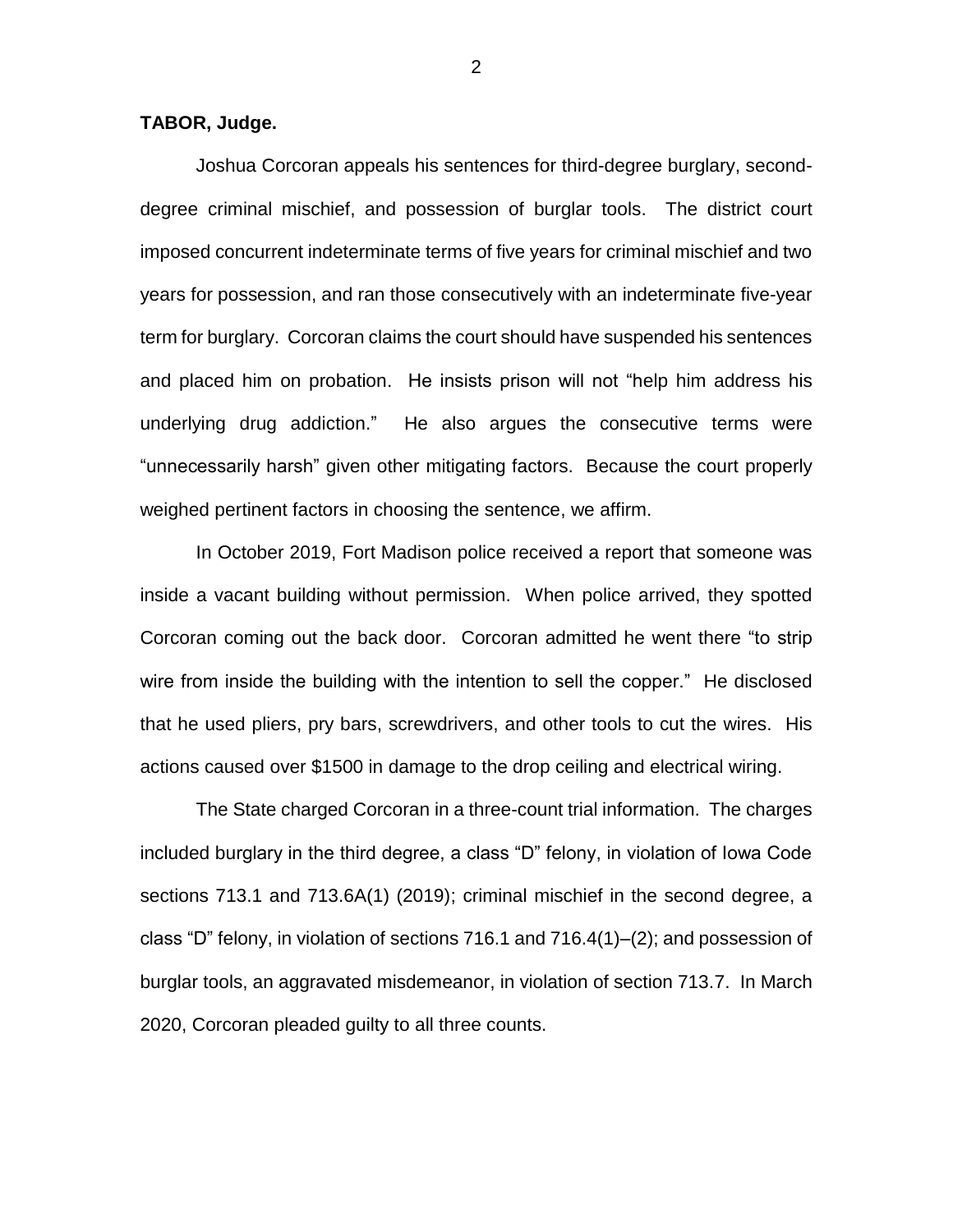## **TABOR, Judge.**

Joshua Corcoran appeals his sentences for third-degree burglary, seconddegree criminal mischief, and possession of burglar tools. The district court imposed concurrent indeterminate terms of five years for criminal mischief and two years for possession, and ran those consecutively with an indeterminate five-year term for burglary. Corcoran claims the court should have suspended his sentences and placed him on probation. He insists prison will not "help him address his underlying drug addiction." He also argues the consecutive terms were "unnecessarily harsh" given other mitigating factors. Because the court properly weighed pertinent factors in choosing the sentence, we affirm.

In October 2019, Fort Madison police received a report that someone was inside a vacant building without permission. When police arrived, they spotted Corcoran coming out the back door. Corcoran admitted he went there "to strip wire from inside the building with the intention to sell the copper." He disclosed that he used pliers, pry bars, screwdrivers, and other tools to cut the wires. His actions caused over \$1500 in damage to the drop ceiling and electrical wiring.

The State charged Corcoran in a three-count trial information. The charges included burglary in the third degree, a class "D" felony, in violation of Iowa Code sections 713.1 and 713.6A(1) (2019); criminal mischief in the second degree, a class "D" felony, in violation of sections 716.1 and 716.4(1)–(2); and possession of burglar tools, an aggravated misdemeanor, in violation of section 713.7. In March 2020, Corcoran pleaded guilty to all three counts.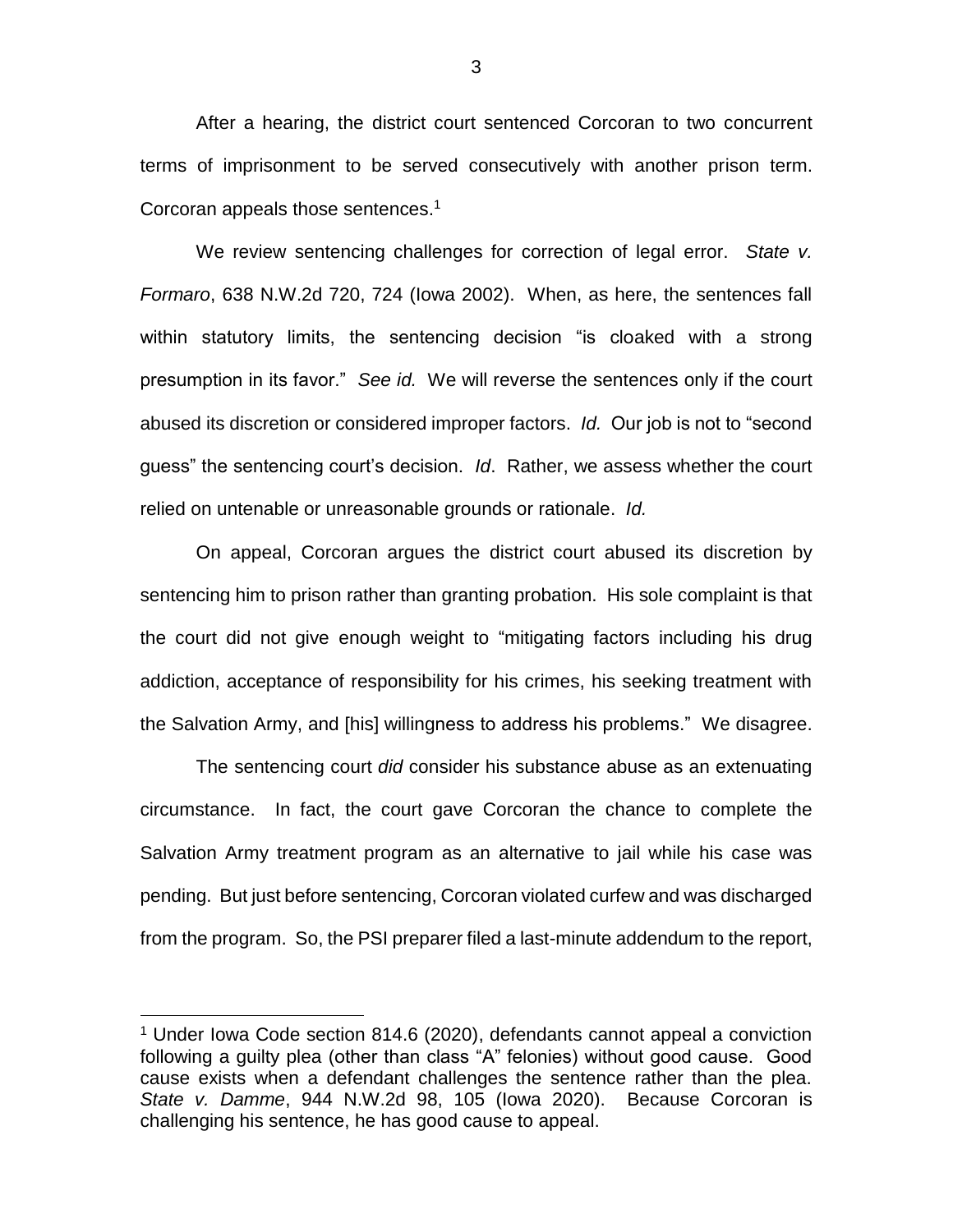After a hearing, the district court sentenced Corcoran to two concurrent terms of imprisonment to be served consecutively with another prison term. Corcoran appeals those sentences.<sup>1</sup>

We review sentencing challenges for correction of legal error. *State v. Formaro*, 638 N.W.2d 720, 724 (Iowa 2002). When, as here, the sentences fall within statutory limits, the sentencing decision "is cloaked with a strong presumption in its favor." *See id.* We will reverse the sentences only if the court abused its discretion or considered improper factors. *Id.* Our job is not to "second guess" the sentencing court's decision. *Id*. Rather, we assess whether the court relied on untenable or unreasonable grounds or rationale. *Id.* 

On appeal, Corcoran argues the district court abused its discretion by sentencing him to prison rather than granting probation. His sole complaint is that the court did not give enough weight to "mitigating factors including his drug addiction, acceptance of responsibility for his crimes, his seeking treatment with the Salvation Army, and [his] willingness to address his problems." We disagree.

The sentencing court *did* consider his substance abuse as an extenuating circumstance. In fact, the court gave Corcoran the chance to complete the Salvation Army treatment program as an alternative to jail while his case was pending. But just before sentencing, Corcoran violated curfew and was discharged from the program. So, the PSI preparer filed a last-minute addendum to the report,

 $\overline{a}$ 

<sup>1</sup> Under Iowa Code section 814.6 (2020), defendants cannot appeal a conviction following a guilty plea (other than class "A" felonies) without good cause. Good cause exists when a defendant challenges the sentence rather than the plea. *State v. Damme*, 944 N.W.2d 98, 105 (Iowa 2020). Because Corcoran is challenging his sentence, he has good cause to appeal.